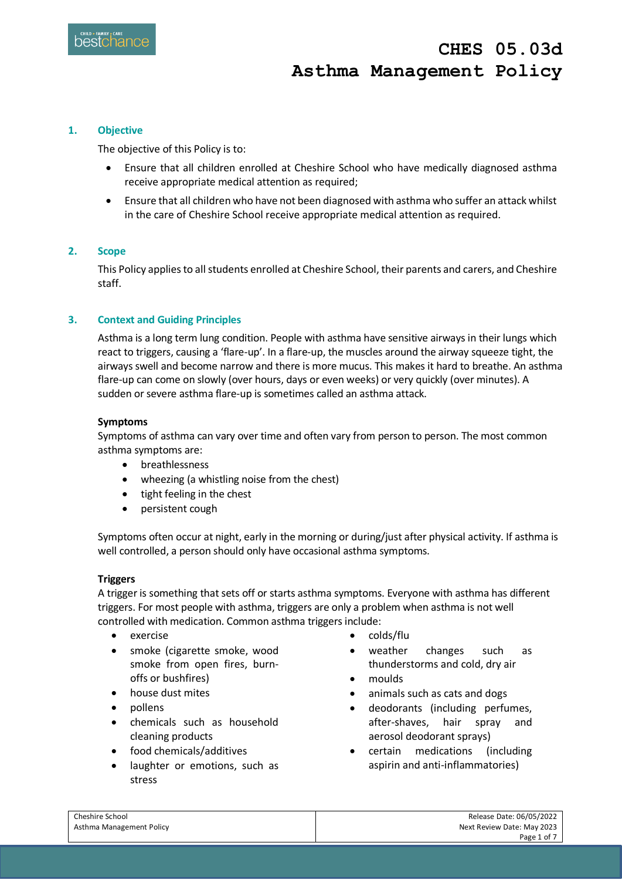#### **1. Objective**

The objective of this Policy is to:

- Ensure that all children enrolled at Cheshire School who have medically diagnosed asthma receive appropriate medical attention as required;
- Ensure that all children who have not been diagnosed with asthma who suffer an attack whilst in the care of Cheshire School receive appropriate medical attention as required.

#### **2. Scope**

This Policy applies to all students enrolled at Cheshire School, their parents and carers, and Cheshire staff.

## **3. Context and Guiding Principles**

Asthma is a long term lung condition. People with asthma have sensitive airways in their lungs which react to triggers, causing a 'flare-up'. In a flare-up, the muscles around the airway squeeze tight, the airways swell and become narrow and there is more mucus. This makes it hard to breathe. An asthma flare-up can come on slowly (over hours, days or even weeks) or very quickly (over minutes). A sudden or severe asthma flare-up is sometimes called an asthma attack.

#### **Symptoms**

Symptoms of asthma can vary over time and often vary from person to person. The most common asthma symptoms are:

- breathlessness
- wheezing (a whistling noise from the chest)
- tight feeling in the chest
- persistent cough

Symptoms often occur at night, early in the morning or during/just after physical activity. If asthma is well controlled, a person should only have occasional asthma symptoms.

#### **Triggers**

A trigger is something that sets off or starts asthma symptoms. Everyone with asthma has different triggers. For most people with asthma, triggers are only a problem when asthma is not well controlled with medication. Common asthma triggers include:

- exercise
- smoke (cigarette smoke, wood smoke from open fires, burnoffs or bushfires)
- house dust mites
- pollens
- chemicals such as household cleaning products
- food chemicals/additives
- laughter or emotions, such as stress
- colds/flu
- weather changes such as thunderstorms and cold, dry air
- moulds
- animals such as cats and dogs
- deodorants (including perfumes, after-shaves, hair spray and aerosol deodorant sprays)
- certain medications (including aspirin and anti-inflammatories)

| Cheshire School          | Release Date: 06/05/2022   |
|--------------------------|----------------------------|
| Asthma Management Policy | Next Review Date: May 2023 |
|                          | Page 1 of 7                |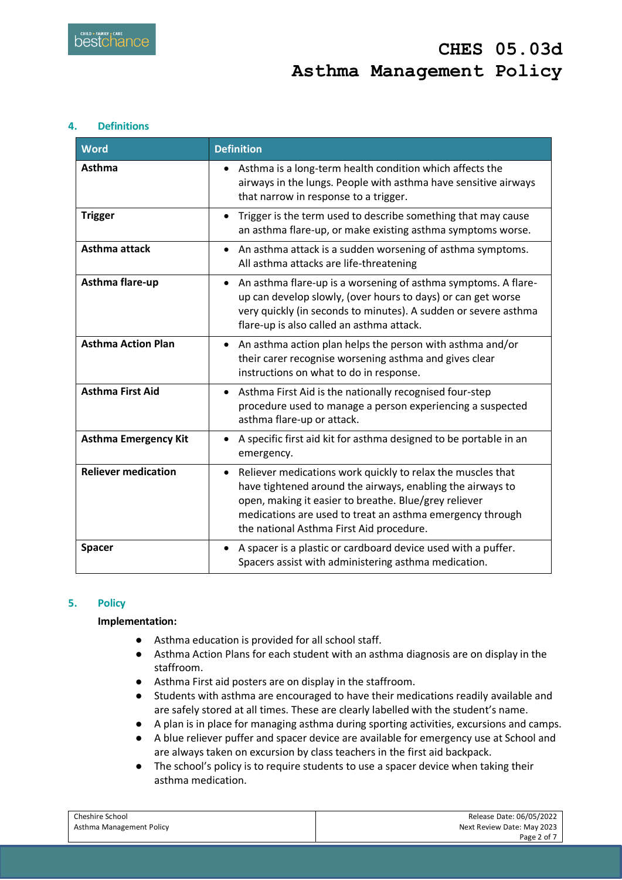#### **4. Definitions**

| <b>Word</b>                 | <b>Definition</b>                                                                                                                                                                                                                                                                                        |
|-----------------------------|----------------------------------------------------------------------------------------------------------------------------------------------------------------------------------------------------------------------------------------------------------------------------------------------------------|
| Asthma                      | Asthma is a long-term health condition which affects the<br>airways in the lungs. People with asthma have sensitive airways<br>that narrow in response to a trigger.                                                                                                                                     |
| <b>Trigger</b>              | Trigger is the term used to describe something that may cause<br>$\bullet$<br>an asthma flare-up, or make existing asthma symptoms worse.                                                                                                                                                                |
| Asthma attack               | An asthma attack is a sudden worsening of asthma symptoms.<br>All asthma attacks are life-threatening                                                                                                                                                                                                    |
| Asthma flare-up             | An asthma flare-up is a worsening of asthma symptoms. A flare-<br>$\bullet$<br>up can develop slowly, (over hours to days) or can get worse<br>very quickly (in seconds to minutes). A sudden or severe asthma<br>flare-up is also called an asthma attack.                                              |
| <b>Asthma Action Plan</b>   | An asthma action plan helps the person with asthma and/or<br>$\bullet$<br>their carer recognise worsening asthma and gives clear<br>instructions on what to do in response.                                                                                                                              |
| <b>Asthma First Aid</b>     | Asthma First Aid is the nationally recognised four-step<br>$\bullet$<br>procedure used to manage a person experiencing a suspected<br>asthma flare-up or attack.                                                                                                                                         |
| <b>Asthma Emergency Kit</b> | A specific first aid kit for asthma designed to be portable in an<br>emergency.                                                                                                                                                                                                                          |
| <b>Reliever medication</b>  | Reliever medications work quickly to relax the muscles that<br>$\bullet$<br>have tightened around the airways, enabling the airways to<br>open, making it easier to breathe. Blue/grey reliever<br>medications are used to treat an asthma emergency through<br>the national Asthma First Aid procedure. |
| <b>Spacer</b>               | A spacer is a plastic or cardboard device used with a puffer.<br>Spacers assist with administering asthma medication.                                                                                                                                                                                    |

## **5. Policy**

#### **Implementation:**

- Asthma education is provided for all school staff.
- Asthma Action Plans for each student with an asthma diagnosis are on display in the staffroom.
- Asthma First aid posters are on display in the staffroom.
- Students with asthma are encouraged to have their medications readily available and are safely stored at all times. These are clearly labelled with the student's name.
- A plan is in place for managing asthma during sporting activities, excursions and camps.
- A blue reliever puffer and spacer device are available for emergency use at School and are always taken on excursion by class teachers in the first aid backpack.
- The school's policy is to require students to use a spacer device when taking their asthma medication.

| Cheshire School          | Release Date: 06/05/2022   |
|--------------------------|----------------------------|
| Asthma Management Policy | Next Review Date: May 2023 |
|                          | Page 2 of 7                |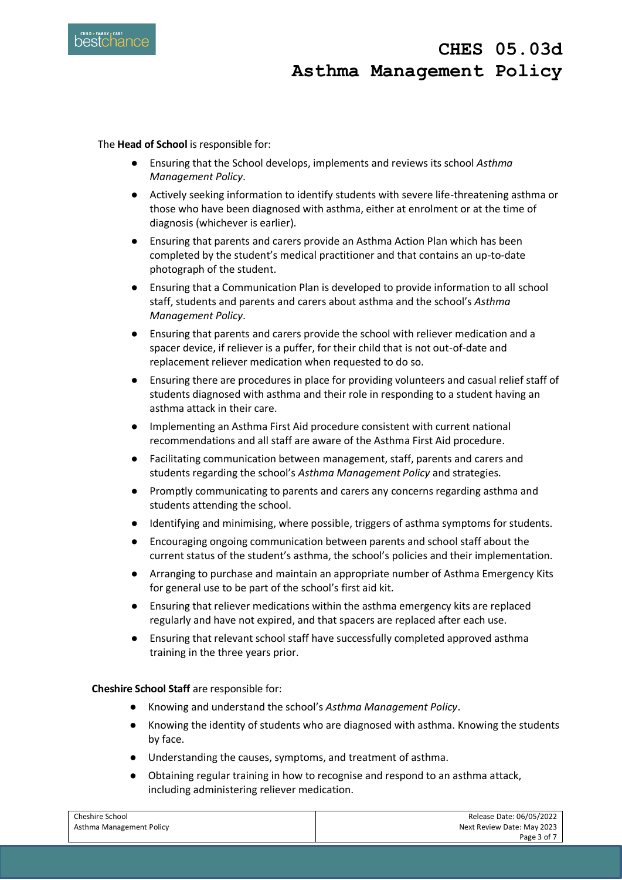

The **Head of School** is responsible for:

- Ensuring that the School develops, implements and reviews its school *Asthma Management Policy*.
- Actively seeking information to identify students with severe life-threatening asthma or those who have been diagnosed with asthma, either at enrolment or at the time of diagnosis (whichever is earlier).
- Ensuring that parents and carers provide an Asthma Action Plan which has been completed by the student's medical practitioner and that contains an up-to-date photograph of the student.
- Ensuring that a Communication Plan is developed to provide information to all school staff, students and parents and carers about asthma and the school's *Asthma Management Policy*.
- Ensuring that parents and carers provide the school with reliever medication and a spacer device, if reliever is a puffer, for their child that is not out-of-date and replacement reliever medication when requested to do so.
- Ensuring there are procedures in place for providing volunteers and casual relief staff of students diagnosed with asthma and their role in responding to a student having an asthma attack in their care.
- Implementing an Asthma First Aid procedure consistent with current national recommendations and all staff are aware of the Asthma First Aid procedure.
- Facilitating communication between management, staff, parents and carers and students regarding the school's *Asthma Management Policy* and strategies.
- Promptly communicating to parents and carers any concerns regarding asthma and students attending the school.
- Identifying and minimising, where possible, triggers of asthma symptoms for students.
- Encouraging ongoing communication between parents and school staff about the current status of the student's asthma, the school's policies and their implementation.
- Arranging to purchase and maintain an appropriate number of Asthma Emergency Kits for general use to be part of the school's first aid kit.
- Ensuring that reliever medications within the asthma emergency kits are replaced regularly and have not expired, and that spacers are replaced after each use.
- Ensuring that relevant school staff have successfully completed approved asthma training in the three years prior.

**Cheshire School Staff** are responsible for:

- Knowing and understand the school's *Asthma Management Policy*.
- Knowing the identity of students who are diagnosed with asthma. Knowing the students by face.
- Understanding the causes, symptoms, and treatment of asthma.
- Obtaining regular training in how to recognise and respond to an asthma attack, including administering reliever medication.

| Cheshire School          | Release Date: 06/05/2022   |
|--------------------------|----------------------------|
| Asthma Management Policy | Next Review Date: May 2023 |
|                          | Page 3 of 7                |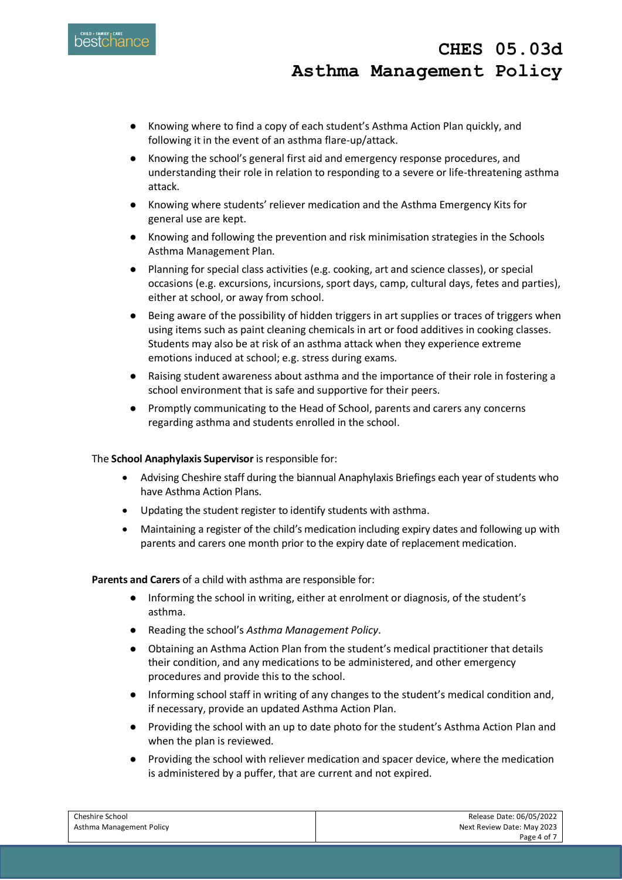- Knowing where to find a copy of each student's Asthma Action Plan quickly, and following it in the event of an asthma flare-up/attack.
- Knowing the school's general first aid and emergency response procedures, and understanding their role in relation to responding to a severe or life-threatening asthma attack.
- Knowing where students' reliever medication and the Asthma Emergency Kits for general use are kept.
- Knowing and following the prevention and risk minimisation strategies in the Schools Asthma Management Plan.
- Planning for special class activities (e.g. cooking, art and science classes), or special occasions (e.g. excursions, incursions, sport days, camp, cultural days, fetes and parties), either at school, or away from school.
- Being aware of the possibility of hidden triggers in art supplies or traces of triggers when using items such as paint cleaning chemicals in art or food additives in cooking classes. Students may also be at risk of an asthma attack when they experience extreme emotions induced at school; e.g. stress during exams.
- Raising student awareness about asthma and the importance of their role in fostering a school environment that is safe and supportive for their peers.
- Promptly communicating to the Head of School, parents and carers any concerns regarding asthma and students enrolled in the school.

## The **School Anaphylaxis Supervisor** is responsible for:

- Advising Cheshire staff during the biannual Anaphylaxis Briefings each year of students who have Asthma Action Plans.
- Updating the student register to identify students with asthma.
- Maintaining a register of the child's medication including expiry dates and following up with parents and carers one month prior to the expiry date of replacement medication.

**Parents and Carers** of a child with asthma are responsible for:

- Informing the school in writing, either at enrolment or diagnosis, of the student's asthma.
- Reading the school's *Asthma Management Policy*.
- Obtaining an Asthma Action Plan from the student's medical practitioner that details their condition, and any medications to be administered, and other emergency procedures and provide this to the school.
- Informing school staff in writing of any changes to the student's medical condition and, if necessary, provide an updated Asthma Action Plan.
- Providing the school with an up to date photo for the student's Asthma Action Plan and when the plan is reviewed.
- Providing the school with reliever medication and spacer device, where the medication is administered by a puffer, that are current and not expired.

| Cheshire School          | Release Date: 06/05/2022   |
|--------------------------|----------------------------|
| Asthma Management Policy | Next Review Date: May 2023 |
|                          | Page 4 of 7                |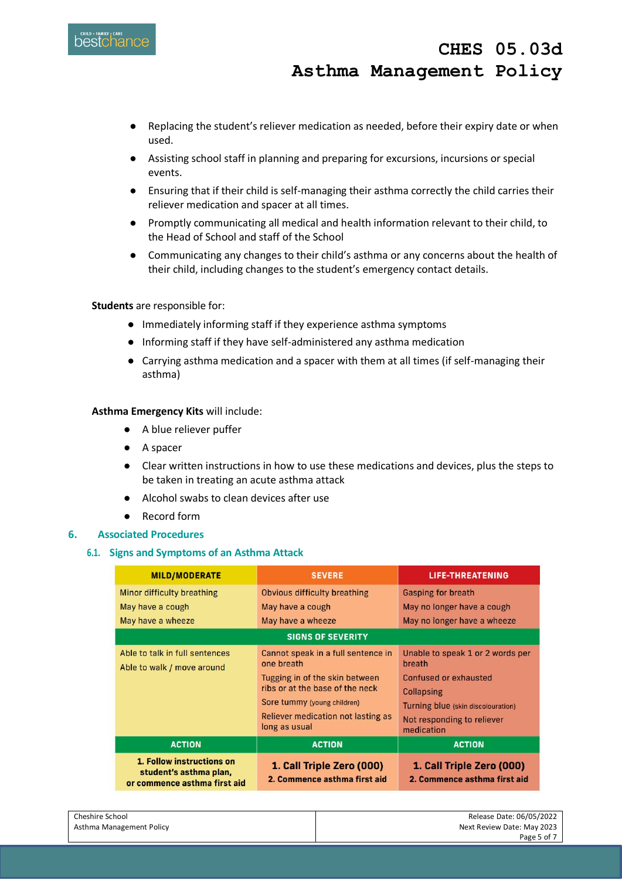

- Replacing the student's reliever medication as needed, before their expiry date or when used.
- Assisting school staff in planning and preparing for excursions, incursions or special events.
- Ensuring that if their child is self-managing their asthma correctly the child carries their reliever medication and spacer at all times.
- Promptly communicating all medical and health information relevant to their child, to the Head of School and staff of the School
- Communicating any changes to their child's asthma or any concerns about the health of their child, including changes to the student's emergency contact details.

## **Students** are responsible for:

- Immediately informing staff if they experience asthma symptoms
- Informing staff if they have self-administered any asthma medication
- Carrying asthma medication and a spacer with them at all times (if self-managing their asthma)

## **Asthma Emergency Kits** will include:

- A blue reliever puffer
- A spacer
- Clear written instructions in how to use these medications and devices, plus the steps to be taken in treating an acute asthma attack
- Alcohol swabs to clean devices after use
- Record form

#### **6. Associated Procedures**

## **6.1. Signs and Symptoms of an Asthma Attack**

| <b>MILD/MODERATE</b>                                                                | <b>SEVERE</b>                                                                                                                                                                                                      | <b>LIFE-THREATENING</b>                                                                                                                                                           |
|-------------------------------------------------------------------------------------|--------------------------------------------------------------------------------------------------------------------------------------------------------------------------------------------------------------------|-----------------------------------------------------------------------------------------------------------------------------------------------------------------------------------|
| Minor difficulty breathing                                                          | <b>Obvious difficulty breathing</b>                                                                                                                                                                                | <b>Gasping for breath</b>                                                                                                                                                         |
| May have a cough                                                                    | May have a cough                                                                                                                                                                                                   | May no longer have a cough                                                                                                                                                        |
| May have a wheeze                                                                   | May have a wheeze                                                                                                                                                                                                  | May no longer have a wheeze                                                                                                                                                       |
| <b>SIGNS OF SEVERITY</b>                                                            |                                                                                                                                                                                                                    |                                                                                                                                                                                   |
| Able to talk in full sentences<br>Able to walk / move around                        | Cannot speak in a full sentence in<br>one breath<br>Tugging in of the skin between<br>ribs or at the base of the neck<br>Sore tummy (young children)<br><b>Reliever medication not lasting as</b><br>long as usual | Unable to speak 1 or 2 words per<br>breath<br><b>Confused or exhausted</b><br><b>Collapsing</b><br>Turning blue (skin discolouration)<br>Not responding to reliever<br>medication |
| <b>ACTION</b>                                                                       | <b>ACTION</b>                                                                                                                                                                                                      | <b>ACTION</b>                                                                                                                                                                     |
| 1. Follow instructions on<br>student's asthma plan,<br>or commence asthma first aid | 1. Call Triple Zero (000)<br>2. Commence asthma first aid                                                                                                                                                          | 1. Call Triple Zero (000)<br>2. Commence asthma first aid                                                                                                                         |

| Cheshire School          | Release Date: 06/05/2022   |
|--------------------------|----------------------------|
| Asthma Management Policy | Next Review Date: May 2023 |
|                          | Page 5 of 7                |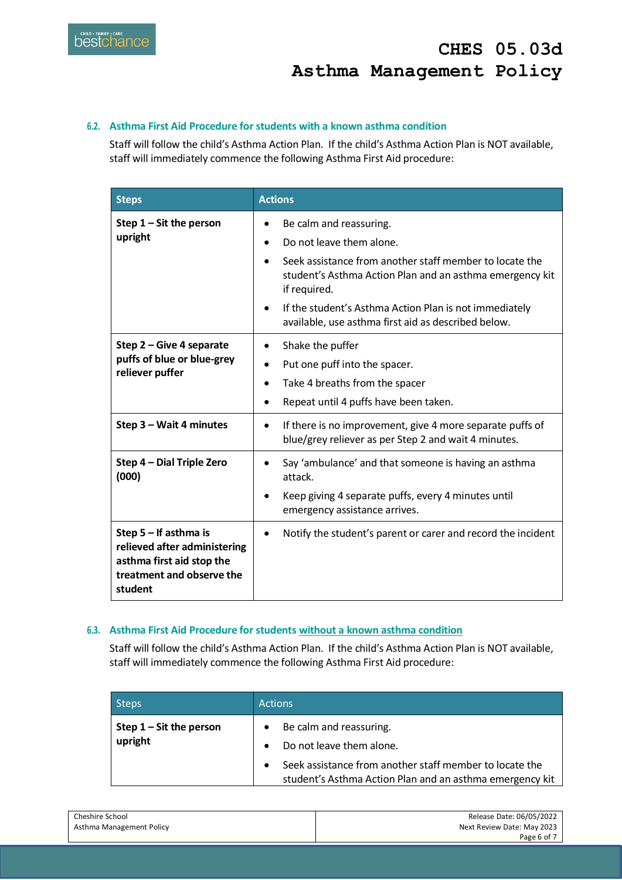## **6.2. Asthma First Aid Procedure for students with a known asthma condition**

Staff will follow the child's Asthma Action Plan. If the child's Asthma Action Plan is NOT available, staff will immediately commence the following Asthma First Aid procedure:

| <b>Steps</b>                                                                                                                 | <b>Actions</b>                                                                                                                                          |
|------------------------------------------------------------------------------------------------------------------------------|---------------------------------------------------------------------------------------------------------------------------------------------------------|
| Step $1 -$ Sit the person<br>upright                                                                                         | Be calm and reassuring.<br>Do not leave them alone.                                                                                                     |
|                                                                                                                              | Seek assistance from another staff member to locate the<br>student's Asthma Action Plan and an asthma emergency kit<br>if required.                     |
|                                                                                                                              | If the student's Asthma Action Plan is not immediately<br>available, use asthma first aid as described below.                                           |
| Step 2 – Give 4 separate<br>puffs of blue or blue-grey<br>reliever puffer                                                    | Shake the puffer<br>Put one puff into the spacer.<br>Take 4 breaths from the spacer<br>Repeat until 4 puffs have been taken.                            |
| Step 3 - Wait 4 minutes                                                                                                      | If there is no improvement, give 4 more separate puffs of<br>blue/grey reliever as per Step 2 and wait 4 minutes.                                       |
| Step 4 - Dial Triple Zero<br>(000)                                                                                           | Say 'ambulance' and that someone is having an asthma<br>attack.<br>Keep giving 4 separate puffs, every 4 minutes until<br>emergency assistance arrives. |
| Step $5 -$ If asthma is<br>relieved after administering<br>asthma first aid stop the<br>treatment and observe the<br>student | Notify the student's parent or carer and record the incident                                                                                            |

## **6.3. Asthma First Aid Procedure for students without a known asthma condition**

Staff will follow the child's Asthma Action Plan. If the child's Asthma Action Plan is NOT available, staff will immediately commence the following Asthma First Aid procedure:

| <b>Steps</b>              | <b>Actions</b>                                           |
|---------------------------|----------------------------------------------------------|
| Step $1 -$ Sit the person | Be calm and reassuring.<br>$\bullet$                     |
| upright                   | Do not leave them alone.                                 |
|                           | Seek assistance from another staff member to locate the  |
|                           | student's Asthma Action Plan and an asthma emergency kit |

| Cheshire School          | Release Date: 06/05/2022   |
|--------------------------|----------------------------|
| Asthma Management Policy | Next Review Date: May 2023 |
|                          | Page 6 of 7                |